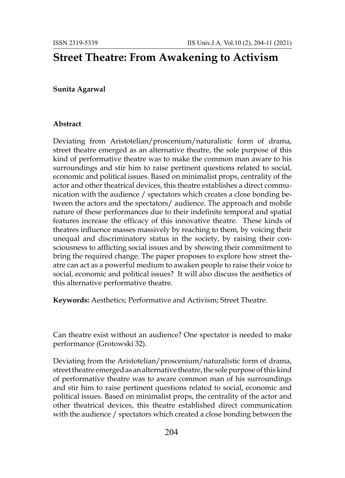# **Street Theatre: From Awakening to Activism**

## **Sunita Agarwal**

#### **Abstract**

Deviating from Aristotelian/proscenium/naturalistic form of drama, street theatre emerged as an alternative theatre, the sole purpose of this kind of performative theatre was to make the common man aware to his surroundings and stir him to raise pertinent questions related to social, economic and political issues. Based on minimalist props, centrality of the actor and other theatrical devices, this theatre establishes a direct communication with the audience / spectators which creates a close bonding between the actors and the spectators/ audience. The approach and mobile nature of these performances due to their indefinite temporal and spatial features increase the efficacy of this innovative theatre. These kinds of theatres influence masses massively by reaching to them, by voicing their unequal and discriminatory status in the society, by raising their consciousness to afflicting social issues and by showing their commitment to bring the required change. The paper proposes to explore how street theatre can act as a powerful medium to awaken people to raise their voice to social, economic and political issues? It will also discuss the aesthetics of this alternative performative theatre.

**Keywords:** Aesthetics; Performative and Activism; Street Theatre.

Can theatre exist without an audience? One spectator is needed to make performance (Grotowski 32).

Deviating from the Aristotelian/proscenium/naturalistic form of drama, street theatre emerged as an alternative theatre, the sole purpose of this kind of performative theatre was to aware common man of his surroundings and stir him to raise pertinent questions related to social, economic and political issues. Based on minimalist props, the centrality of the actor and other theatrical devices, this theatre established direct communication with the audience / spectators which created a close bonding between the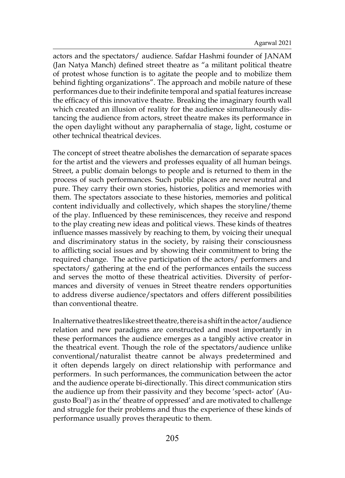actors and the spectators/ audience. Safdar Hashmi founder of JANAM (Jan Natya Manch) defined street theatre as "a militant political theatre of protest whose function is to agitate the people and to mobilize them behind fighting organizations". The approach and mobile nature of these performances due to their indefinite temporal and spatial features increase the efficacy of this innovative theatre. Breaking the imaginary fourth wall which created an illusion of reality for the audience simultaneously distancing the audience from actors, street theatre makes its performance in the open daylight without any paraphernalia of stage, light, costume or other technical theatrical devices.

The concept of street theatre abolishes the demarcation of separate spaces for the artist and the viewers and professes equality of all human beings. Street, a public domain belongs to people and is returned to them in the process of such performances. Such public places are never neutral and pure. They carry their own stories, histories, politics and memories with them. The spectators associate to these histories, memories and political content individually and collectively, which shapes the storyline/theme of the play. Influenced by these reminiscences, they receive and respond to the play creating new ideas and political views. These kinds of theatres influence masses massively by reaching to them, by voicing their unequal and discriminatory status in the society, by raising their consciousness to afflicting social issues and by showing their commitment to bring the required change. The active participation of the actors/ performers and spectators/ gathering at the end of the performances entails the success and serves the motto of these theatrical activities. Diversity of performances and diversity of venues in Street theatre renders opportunities to address diverse audience/spectators and offers different possibilities than conventional theatre.

In alternative theatres like street theatre, there is a shift in the actor/audience relation and new paradigms are constructed and most importantly in these performances the audience emerges as a tangibly active creator in the theatrical event. Though the role of the spectators/audience unlike conventional/naturalist theatre cannot be always predetermined and it often depends largely on direct relationship with performance and performers. In such performances, the communication between the actor and the audience operate bi-directionally. This direct communication stirs the audience up from their passivity and they become 'spect- actor' (Augusto Boal1 ) as in the' theatre of oppressed' and are motivated to challenge and struggle for their problems and thus the experience of these kinds of performance usually proves therapeutic to them.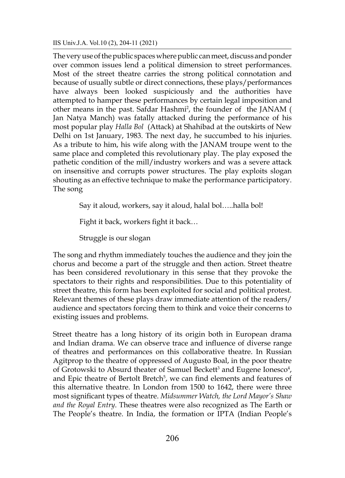The very use of the public spaces where public can meet, discuss and ponder over common issues lend a political dimension to street performances. Most of the street theatre carries the strong political connotation and because of usually subtle or direct connections, these plays/performances have always been looked suspiciously and the authorities have attempted to hamper these performances by certain legal imposition and other means in the past. Safdar Hashmi<sup>2</sup>, the founder of the JANAM ( Jan Natya Manch) was fatally attacked during the performance of his most popular play *Halla Bol* (Attack) at Shahibad at the outskirts of New Delhi on 1st January, 1983. The next day, he succumbed to his injuries. As a tribute to him, his wife along with the JANAM troupe went to the same place and completed this revolutionary play. The play exposed the pathetic condition of the mill/industry workers and was a severe attack on insensitive and corrupts power structures. The play exploits slogan shouting as an effective technique to make the performance participatory. The song

Say it aloud, workers, say it aloud, halal bol…..halla bol!

Fight it back, workers fight it back…

Struggle is our slogan

The song and rhythm immediately touches the audience and they join the chorus and become a part of the struggle and then action. Street theatre has been considered revolutionary in this sense that they provoke the spectators to their rights and responsibilities. Due to this potentiality of street theatre, this form has been exploited for social and political protest. Relevant themes of these plays draw immediate attention of the readers/ audience and spectators forcing them to think and voice their concerns to existing issues and problems.

Street theatre has a long history of its origin both in European drama and Indian drama. We can observe trace and influence of diverse range of theatres and performances on this collaborative theatre. In Russian Agitprop to the theatre of oppressed of Augusto Boal, in the poor theatre of Grotowski to Absurd theater of Samuel Beckett<sup>3</sup> and Eugene Ionesco<sup>4</sup>, and Epic theatre of Bertolt Bretch<sup>5</sup>, we can find elements and features of this alternative theatre. In London from 1500 to 1642, there were three most significant types of theatre. *Midsummer Watch, the Lord Mayor's Shaw and the Royal Entry*. These theatres were also recognized as The Earth or The People's theatre. In India, the formation or IPTA (Indian People's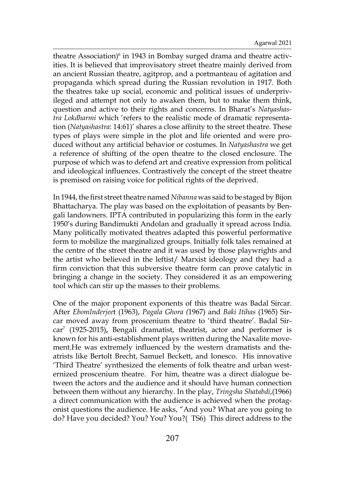theatre Association)<sup>6</sup> in 1943 in Bombay surged drama and theatre activities. It is believed that improvisatory street theatre mainly derived from an ancient Russian theatre, agitprop, and a portmanteau of agitation and propaganda which spread during the Russian revolution in 1917. Both the theatres take up social, economic and political issues of underprivileged and attempt not only to awaken them, but to make them think, question and active to their rights and concerns. In Bharat's *Natyashastra Lokdharmi* which 'refers to the realistic mode of dramatic representation (*Natyashastra*: 14:61)' shares a close affinity to the street theatre. These types of plays were simple in the plot and life oriented and were produced without any artificial behavior or costumes. In *Natyashastra* we get a reference of shifting of the open theatre to the closed enclosure. The purpose of which was to defend art and creative expression from political and ideological influences. Contrastively the concept of the street theatre is premised on raising voice for political rights of the deprived.

In 1944, the first street theatre named *Nibanna* was said to be staged by Bijon Bhattacharya. The play was based on the exploitation of peasants by Bengali landowners. IPTA contributed in popularizing this form in the early 1950's during Bandimukti Andolan and gradually it spread across India. Many politically motivated theatres adapted this powerful performative form to mobilize the marginalized groups. Initially folk tales remained at the centre of the street theatre and it was used by those playwrights and the artist who believed in the leftist/ Marxist ideology and they had a firm conviction that this subversive theatre form can prove catalytic in bringing a change in the society. They considered it as an empowering tool which can stir up the masses to their problems.

One of the major proponent exponents of this theatre was Badal Sircar. After *EbomInderjee*t (1963), *Pagala Ghora (*1967) and *Baki Itihas* (1965) Sircar moved away from proscenium theatre to 'third theatre'. Badal Sircar7 (1925-2015)**,** Bengali dramatist, theatrist, actor and performer is known for his anti-establishment plays written during the Naxalite movement.He was extremely influenced by the western dramatists and theatrists like Bertolt Brecht, Samuel Beckett, and Ionesco. His innovative 'Third Theatre' synthesized the elements of folk theatre and urban westernized proscenium theatre. For him, theatre was a direct dialogue between the actors and the audience and it should have human connection between them without any hierarchy. In the play, *Tringsha Shatabdi*,(1966) a direct communication with the audience is achieved when the protagonist questions the audience. He asks, "And you? What are you going to do? Have you decided? You? You? You?( TS6) This direct address to the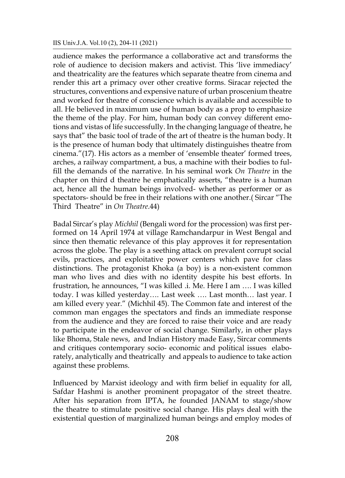audience makes the performance a collaborative act and transforms the role of audience to decision makers and activist. This 'live immediacy' and theatricality are the features which separate theatre from cinema and render this art a primacy over other creative forms. Siracar rejected the structures, conventions and expensive nature of urban proscenium theatre and worked for theatre of conscience which is available and accessible to all. He believed in maximum use of human body as a prop to emphasize the theme of the play. For him, human body can convey different emotions and vistas of life successfully. In the changing language of theatre, he says that" the basic tool of trade of the art of theatre is the human body. It is the presence of human body that ultimately distinguishes theatre from cinema."(17). His actors as a member of 'ensemble theater' formed trees, arches, a railway compartment, a bus, a machine with their bodies to fulfill the demands of the narrative. In his seminal work *On Theatre* in the chapter on third d theatre he emphatically asserts, "theatre is a human act, hence all the human beings involved- whether as performer or as spectators- should be free in their relations with one another.( Sircar "The Third Theatre" in *On Theatre*.44)

Badal Sircar's play *Michhil* (Bengali word for the procession) was first performed on 14 April 1974 at village Ramchandarpur in West Bengal and since then thematic relevance of this play approves it for representation across the globe. The play is a seething attack on prevalent corrupt social evils, practices, and exploitative power centers which pave for class distinctions. The protagonist Khoka (a boy) is a non-existent common man who lives and dies with no identity despite his best efforts. In frustration, he announces, "I was killed .i. Me. Here I am …. I was killed today. I was killed yesterday…. Last week …. Last month… last year. I am killed every year." (Michhil 45). The Common fate and interest of the common man engages the spectators and finds an immediate response from the audience and they are forced to raise their voice and are ready to participate in the endeavor of social change. Similarly, in other plays like Bhoma, Stale news, and Indian History made Easy, Sircar comments and critiques contemporary socio- economic and political issues elaborately, analytically and theatrically and appeals to audience to take action against these problems.

Influenced by Marxist ideology and with firm belief in equality for all, Safdar Hashmi is another prominent propagator of the street theatre. After his separation from IPTA, he founded JANAM to stage/show the theatre to stimulate positive social change. His plays deal with the existential question of marginalized human beings and employ modes of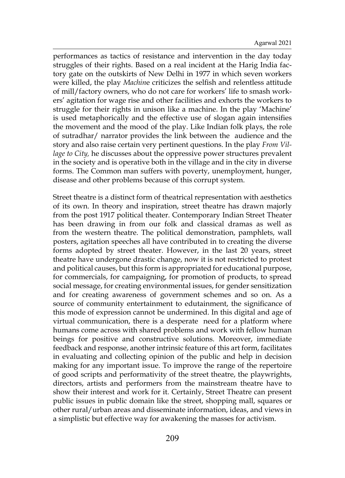performances as tactics of resistance and intervention in the day today struggles of their rights. Based on a real incident at the Harig India factory gate on the outskirts of New Delhi in 1977 in which seven workers were killed, the play *Machin*e criticizes the selfish and relentless attitude of mill/factory owners, who do not care for workers' life to smash workers' agitation for wage rise and other facilities and exhorts the workers to struggle for their rights in unison like a machine. In the play 'Machine' is used metaphorically and the effective use of slogan again intensifies the movement and the mood of the play. Like Indian folk plays, the role of sutradhar/ narrator provides the link between the audience and the story and also raise certain very pertinent questions. In the play *From Village to City,* he discusses about the oppressive power structures prevalent in the society and is operative both in the village and in the city in diverse forms. The Common man suffers with poverty, unemployment, hunger, disease and other problems because of this corrupt system.

Street theatre is a distinct form of theatrical representation with aesthetics of its own. In theory and inspiration, street theatre has drawn majorly from the post 1917 political theater. Contemporary Indian Street Theater has been drawing in from our folk and classical dramas as well as from the western theatre. The political demonstration, pamphlets, wall posters, agitation speeches all have contributed in to creating the diverse forms adopted by street theater. However, in the last 20 years, street theatre have undergone drastic change, now it is not restricted to protest and political causes, but this form is appropriated for educational purpose, for commercials, for campaigning, for promotion of products, to spread social message, for creating environmental issues, for gender sensitization and for creating awareness of government schemes and so on. As a source of community entertainment to edutainment, the significance of this mode of expression cannot be undermined. In this digital and age of virtual communication, there is a desperate need for a platform where humans come across with shared problems and work with fellow human beings for positive and constructive solutions. Moreover, immediate feedback and response, another intrinsic feature of this art form, facilitates in evaluating and collecting opinion of the public and help in decision making for any important issue. To improve the range of the repertoire of good scripts and performativity of the street theatre, the playwrights, directors, artists and performers from the mainstream theatre have to show their interest and work for it. Certainly, Street Theatre can present public issues in public domain like the street, shopping mall, squares or other rural/urban areas and disseminate information, ideas, and views in a simplistic but effective way for awakening the masses for activism.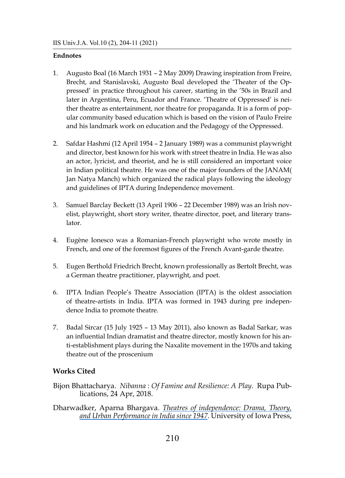### **Endnotes**

- 1. Augusto Boal (16 March 1931 2 May 2009) Drawing inspiration from Freire, Brecht, and Stanislavski, Augusto Boal developed the 'Theater of the Oppressed' in practice throughout his career, starting in the '50s in Brazil and later in Argentina, Peru, Ecuador and France. 'Theatre of Oppressed' is neither theatre as entertainment, nor theatre for propaganda. It is a form of popular community based education which is based on the vision of Paulo Freire and his landmark work on education and the Pedagogy of the Oppressed.
- 2. Safdar Hashmi (12 April 1954 2 January 1989) was a communist playwright and director, best known for his work with street theatre in India. He was also an actor, lyricist, and theorist, and he is still considered an important voice in Indian political theatre. He was one of the major founders of the JANAM( Jan Natya Manch) which organized the radical plays following the ideology and guidelines of IPTA during Independence movement.
- 3. Samuel Barclay Beckett (13 April 1906 22 December 1989) was an Irish novelist, playwright, short story writer, theatre director, poet, and literary translator.
- 4. Eugène Ionesco was a Romanian-French playwright who wrote mostly in French, and one of the foremost figures of the French Avant-garde theatre.
- 5. Eugen Berthold Friedrich Brecht, known professionally as Bertolt Brecht, was a German theatre practitioner, playwright, and poet.
- 6. IPTA Indian People's Theatre Association (IPTA) is the oldest association of theatre-artists in India. IPTA was formed in 1943 during pre independence India to promote theatre.
- 7. Badal Sircar (15 July 1925 13 May 2011), also known as Badal Sarkar, was an influential Indian dramatist and theatre director, mostly known for his anti-establishment plays during the Naxalite movement in the 1970s and taking theatre out of the proscenium

# **Works Cited**

- Bijon Bhattacharya. *Nibanna* : *Of Famine and Resilience: A Play*. Rupa Publications, 24 Apr, 2018.
- Dharwadker, Aparna Bhargava. *Theatres of independence: Drama, Theory, and Urban Performance in India since 1947*. University of Iowa Press,